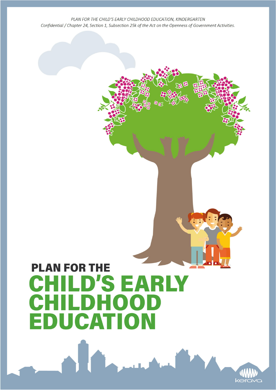# **PLAN FOR THE** CHILD'S EARLY **CHILDHOOD EDUCATION**

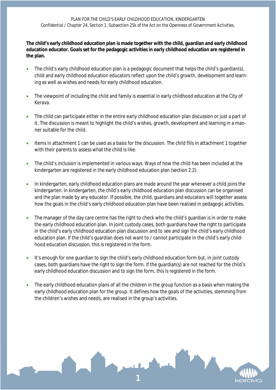**The child's early childhood education plan is made together with the child, guardian and early childhood education educator. Goals set for the pedagogic activities in early childhood education are registered in the plan.**

- The child's early childhood education plan is a pedagogic document that helps the child's guardian(s), child and early childhood education educators reflect upon the child's growth, development and learning as well as wishes and needs for early childhood education.
- The viewpoint of including the child and family is essential in early childhood education at the City of Kerava.
- The child can participate either in the entire early childhood education plan discussion or just a part of it. The discussion is meant to highlight the child's wishes, growth, development and learning in a manner suitable for the child.
- Items in attachment 1 can be used as a basis for the discussion. The child fills in attachment 1 together with their parents to assess what the child is like.
- The child's inclusion is implemented in various ways. Ways of how the child has been included at the kindergarten are registered in the early childhood education plan (section 2.2).
- In kindergarten, early childhood education plans are made around the year whenever a child joins the kindergarten. In kindergarten, the child's early childhood education plan discussion can be organised and the plan made by any educator. If possible, the child, guardians and educators will together assess how the goals in the child's early childhood education plan have been realised in pedagogic activities.
- The manager of the day care centre has the right to check who the child's guardian is in order to make the early childhood education plan. In joint custody cases, both guardians have the right to participate in the child's early childhood education plan discussion and to see and sign the child's early childhood education plan. If the child's guardian does not want to / cannot participate in the child's early childhood education discussion, this is registered in the form.
- It's enough for one guardian to sign the child's early childhood education form but, in joint custody cases, both guardians have the right to sign the form. If the guardian(s) are not reached for the child's early childhood education discussion and to sign the form, this is registered in the form.
- The early childhood education plans of all the children in the group function as a basis when making the early childhood education plan for the group. It defines how the goals of the activities, stemming from the children's wishes and needs, are realised in the group's activities.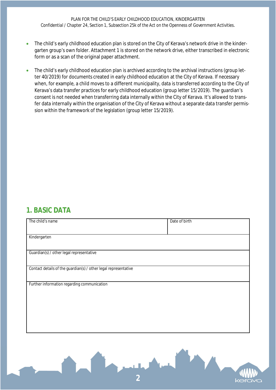- The child's early childhood education plan is stored on the City of Kerava's network drive in the kindergarten group's own folder. Attachment 1 is stored on the network drive, either transcribed in electronic form or as a scan of the original paper attachment.
- The child's early childhood education plan is archived according to the archival instructions (group letter 40/2019) for documents created in early childhood education at the City of Kerava. If necessary when, for example, a child moves to a different municipality, data is transferred according to the City of Kerava's data transfer practices for early childhood education (group letter 15/2019). The guardian's consent is not needed when transferring data internally within the City of Kerava. It's allowed to transfer data internally within the organisation of the City of Kerava without a separate data transfer permission within the framework of the legislation (group letter 15/2019).

#### **1. BASIC DATA**

| The child's name                                                | Date of birth |  |
|-----------------------------------------------------------------|---------------|--|
|                                                                 |               |  |
| Kindergarten                                                    |               |  |
| Guardian(s) / other legal representative                        |               |  |
| Contact details of the guardian(s) / other legal representative |               |  |
| Further information regarding communication                     |               |  |
|                                                                 |               |  |
|                                                                 |               |  |
|                                                                 |               |  |
|                                                                 |               |  |

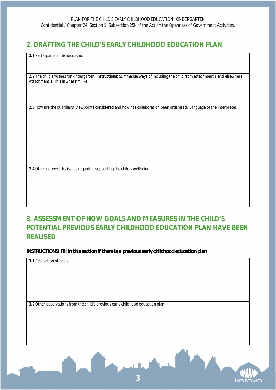## **2. DRAFTING THE CHILD'S EARLY CHILDHOOD EDUCATION PLAN**

**2.1** Participants in the discussion

**2.2** The child's wishes for kindergarten. **Instructions:** Summarise ways of including the child from attachment 1 and elsewhere. Attachment 1: This is what I'm like!

**2.3** How are the guardians' viewpoints considered and how has collaboration been organised? Language of the interpreter.

**2.4** Other noteworthy issues regarding supporting the child's wellbeing

## **3. ASSESSMENT OF HOW GOALS AND MEASURES IN THE CHILD'S POTENTIAL PREVIOUS EARLY CHILDHOOD EDUCATION PLAN HAVE BEEN REALISED**

*INSTRUCTIONS: Fill in this section if there is a previous early childhood education plan*

**3.1** Realisation of goals

**3.2** Other observations from the child's previous early childhood education plan

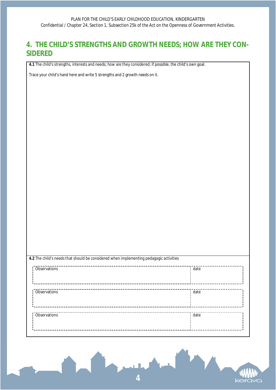## **4. THE CHILD'S STRENGTHS AND GROWTH NEEDS; HOW ARE THEY CON-SIDERED**

**4.1** The child's strengths, interests and needs; how are they considered; if possible, the child's own goal.

Trace your child's hand here and write 5 strengths and 2 growth needs on it.

| 4.2 The child's needs that should be considered when implementing pedagogic activities |      |  |
|----------------------------------------------------------------------------------------|------|--|
|                                                                                        |      |  |
| <b>Observations</b>                                                                    | date |  |
|                                                                                        |      |  |
|                                                                                        |      |  |
|                                                                                        |      |  |
| Observations                                                                           | date |  |
|                                                                                        |      |  |
|                                                                                        |      |  |
|                                                                                        |      |  |
| Observations                                                                           | date |  |
|                                                                                        |      |  |
|                                                                                        |      |  |
|                                                                                        |      |  |
|                                                                                        |      |  |